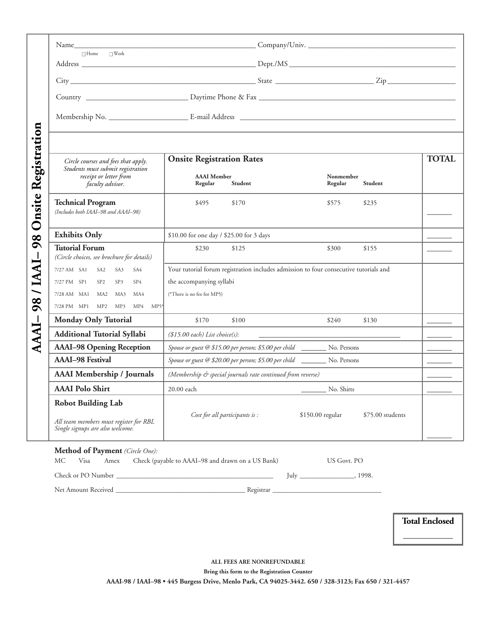|                     | $\Box$ Home $\Box$ Work                                                                                 |                                                                                       |                                                                              |                      |                  |  |  |  |
|---------------------|---------------------------------------------------------------------------------------------------------|---------------------------------------------------------------------------------------|------------------------------------------------------------------------------|----------------------|------------------|--|--|--|
|                     |                                                                                                         |                                                                                       |                                                                              |                      |                  |  |  |  |
|                     |                                                                                                         |                                                                                       |                                                                              |                      |                  |  |  |  |
|                     |                                                                                                         |                                                                                       |                                                                              |                      |                  |  |  |  |
|                     |                                                                                                         |                                                                                       |                                                                              |                      |                  |  |  |  |
|                     | Circle courses and fees that apply.<br>Students must submit registration                                | <b>Onsite Registration Rates</b>                                                      |                                                                              |                      | <b>TOTAL</b>     |  |  |  |
|                     | receipt or letter from<br>faculty advisor.                                                              | <b>AAAI</b> Member<br>Regular<br>Student                                              |                                                                              | Nonmember<br>Regular | Student          |  |  |  |
| Onsite Registration | <b>Technical Program</b><br>(Includes both IAAI-98 and AAAI-98)                                         | \$495<br>\$170                                                                        |                                                                              | \$575                | \$235            |  |  |  |
| 98                  | <b>Exhibits Only</b>                                                                                    | \$10.00 for one day / \$25.00 for 3 days                                              |                                                                              |                      |                  |  |  |  |
|                     | <b>Tutorial Forum</b><br>(Circle choices, see brochure for details)                                     | \$230<br>\$125                                                                        |                                                                              | \$300                | \$155            |  |  |  |
| <b>DRAI</b> / 86    | 7/27 AM SA1 SA2 SA3<br>SA4                                                                              | Your tutorial forum registration includes admission to four consecutive tutorials and |                                                                              |                      |                  |  |  |  |
|                     | 7/27 PM SP1 SP2 SP3<br>SP4                                                                              | the accompanying syllabi                                                              |                                                                              |                      |                  |  |  |  |
|                     | 7/28 AM MA1 MA2 MA3<br>MA4                                                                              | (*There is no fee for MP5)                                                            |                                                                              |                      |                  |  |  |  |
|                     | 7/28 PM MP1 MP2 MP3 MP4 MP5*                                                                            |                                                                                       |                                                                              |                      |                  |  |  |  |
| AAAI-               | <b>Monday Only Tutorial</b>                                                                             | \$170<br>\$100                                                                        |                                                                              | \$240                | \$130            |  |  |  |
|                     | <b>Additional Tutorial Syllabi</b>                                                                      | (\$15.00 each) List choice(s):                                                        |                                                                              |                      |                  |  |  |  |
|                     | <b>AAAI-98 Opening Reception</b>                                                                        | Spouse or guest @ \$15.00 per person; \$5.00 per child __________ No. Persons         |                                                                              |                      |                  |  |  |  |
|                     | <b>AAAI-98 Festival</b>                                                                                 |                                                                                       | Spouse or guest @ \$20.00 per person; \$5.00 per child _________ No. Persons |                      |                  |  |  |  |
|                     | <b>AAAI</b> Membership / Journals                                                                       | (Membership & special journals rate continued from reverse)                           |                                                                              |                      |                  |  |  |  |
|                     | <b>AAAI Polo Shirt</b>                                                                                  | $20.00$ each                                                                          |                                                                              | No. Shirts           |                  |  |  |  |
|                     | <b>Robot Building Lab</b><br>All team members must register for RBL<br>Single signups are also welcome. | Cost for all participants is:                                                         | \$150.00 regular                                                             |                      | \$75.00 students |  |  |  |
|                     | .c n.                                                                                                   |                                                                                       |                                                                              |                      |                  |  |  |  |

## **Method of Payment** *(Circle One):*

| МC | Visa                | Amex | Check (payable to AAAI–98 and drawn on a US Bank) | US Govt. PO |       |  |
|----|---------------------|------|---------------------------------------------------|-------------|-------|--|
|    | Check or PO Number  |      |                                                   | lulv        | 1998. |  |
|    | Net Amount Received |      | Registrar                                         |             |       |  |

**Total Enclosed**  $\overline{\phantom{a}}$  , where  $\overline{\phantom{a}}$ 

**ALL FEES ARE NONREFUNDABLE** 

**Bring this form to the Registration Counter**

**AAAI-98 / IAAI–98 • 445 Burgess Drive, Menlo Park, CA 94025-3442. 650 / 328-3123; Fax 650 / 321-4457**